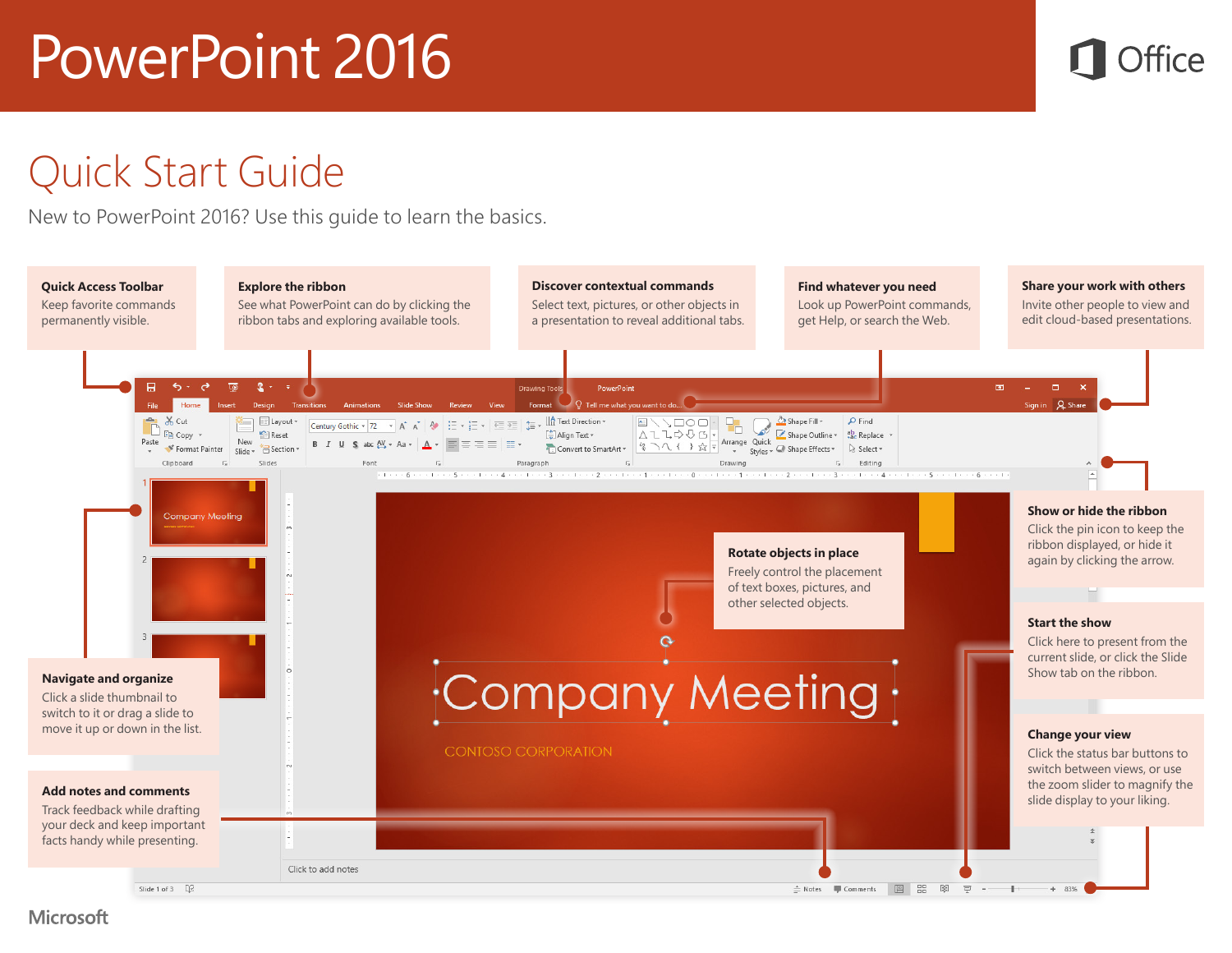

#### Quick Start Guide

New to PowerPoint 2016? Use this guide to learn the basics.



**Microsoft**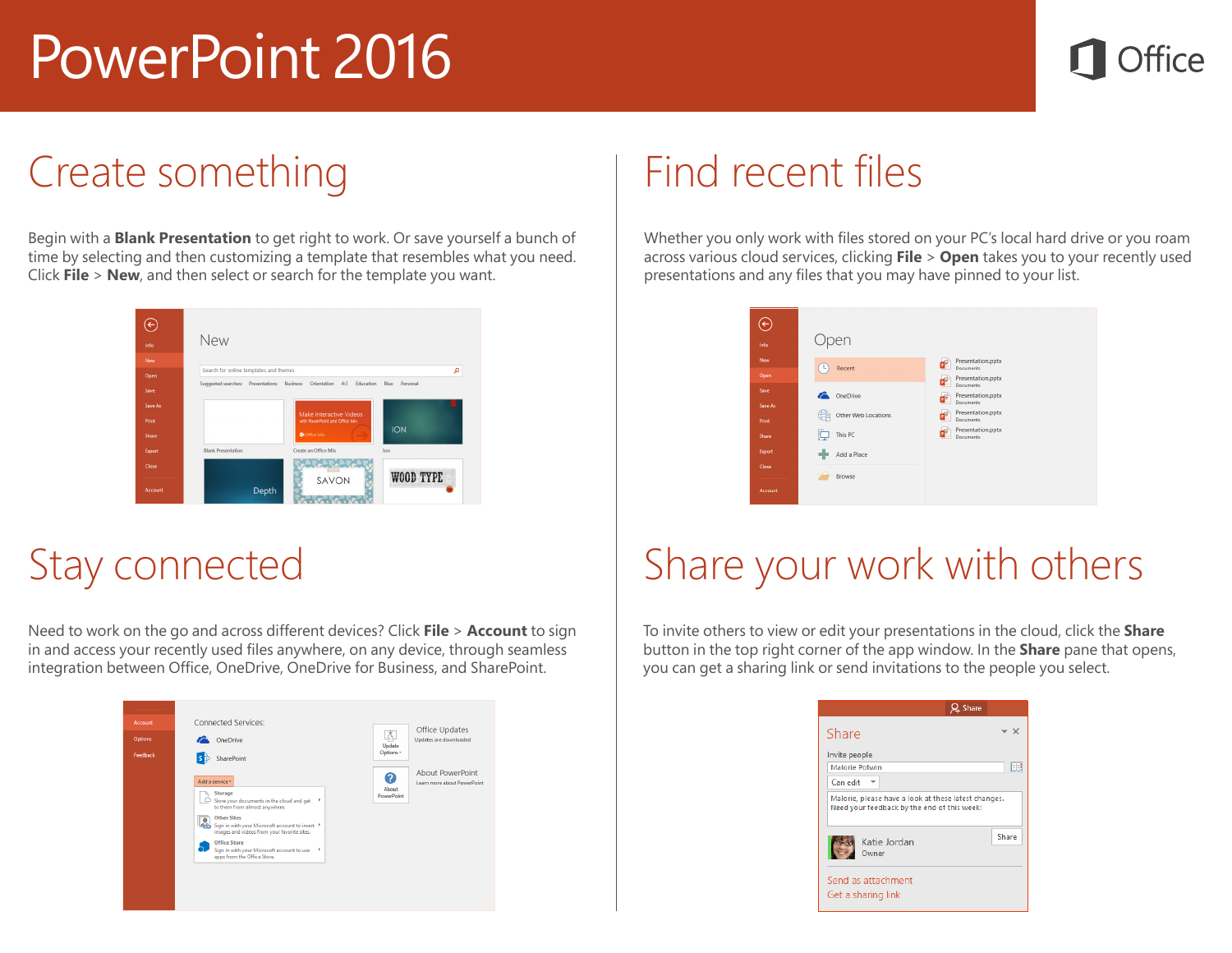

#### Create something

Begin with a **Blank Presentation** to get right to work. Or save yourself a bunch of time by selecting and then customizing a template that resembles what you need. Click **File** > **New**, and then select or search for the template you want.



#### Stay connected

Need to work on the go and across different devices? Click **File** > **Account** to sign in and access your recently used files anywhere, on any device, through seamless integration between Office, OneDrive, OneDrive for Business, and SharePoint.

| Account<br><b>Options</b><br>Feedback | Connected Services:<br>OneDrive<br>SharePoint<br>l s i                                                                                                                                                                                                                                                                                              | Office Updates<br>Ă<br>Updates are downloaded<br>Update<br>Options v               |
|---------------------------------------|-----------------------------------------------------------------------------------------------------------------------------------------------------------------------------------------------------------------------------------------------------------------------------------------------------------------------------------------------------|------------------------------------------------------------------------------------|
|                                       | Add a service *<br>Storage<br>Store your documents in the cloud and get<br>r<br>to them from almost anywhere.<br><b>Other Sites</b><br>Tō.<br>Sign in with your Microsoft account to insert<br>images and videos from your favorite sites.<br><b>Office Store</b><br>Sign in with your Microsoft account to use<br>×<br>apps from the Office Store. | About PowerPoint<br>Ω<br>Learn more about PowerPoint<br>About<br><b>PowerPoint</b> |

#### Find recent files

Whether you only work with files stored on your PC's local hard drive or you roam across various cloud services, clicking **File** > **Open** takes you to your recently used presentations and any files that you may have pinned to your list.



## Share your work with others

To invite others to view or edit your presentations in the cloud, click the **Share** button in the top right corner of the app window. In the **Share** pane that opens, you can get a sharing link or send invitations to the people you select.

|                                                                                                     | Share |
|-----------------------------------------------------------------------------------------------------|-------|
| Share                                                                                               |       |
| Invite people                                                                                       |       |
| <b>Malorie Potwin</b>                                                                               | EE    |
| Can edit                                                                                            |       |
| Malorie, please have a look at these latest changes.<br>Need your feedback by the end of this week! |       |
| Katie Jordan<br>Owner                                                                               | Share |
| Send as attachment<br>Get a sharing link                                                            |       |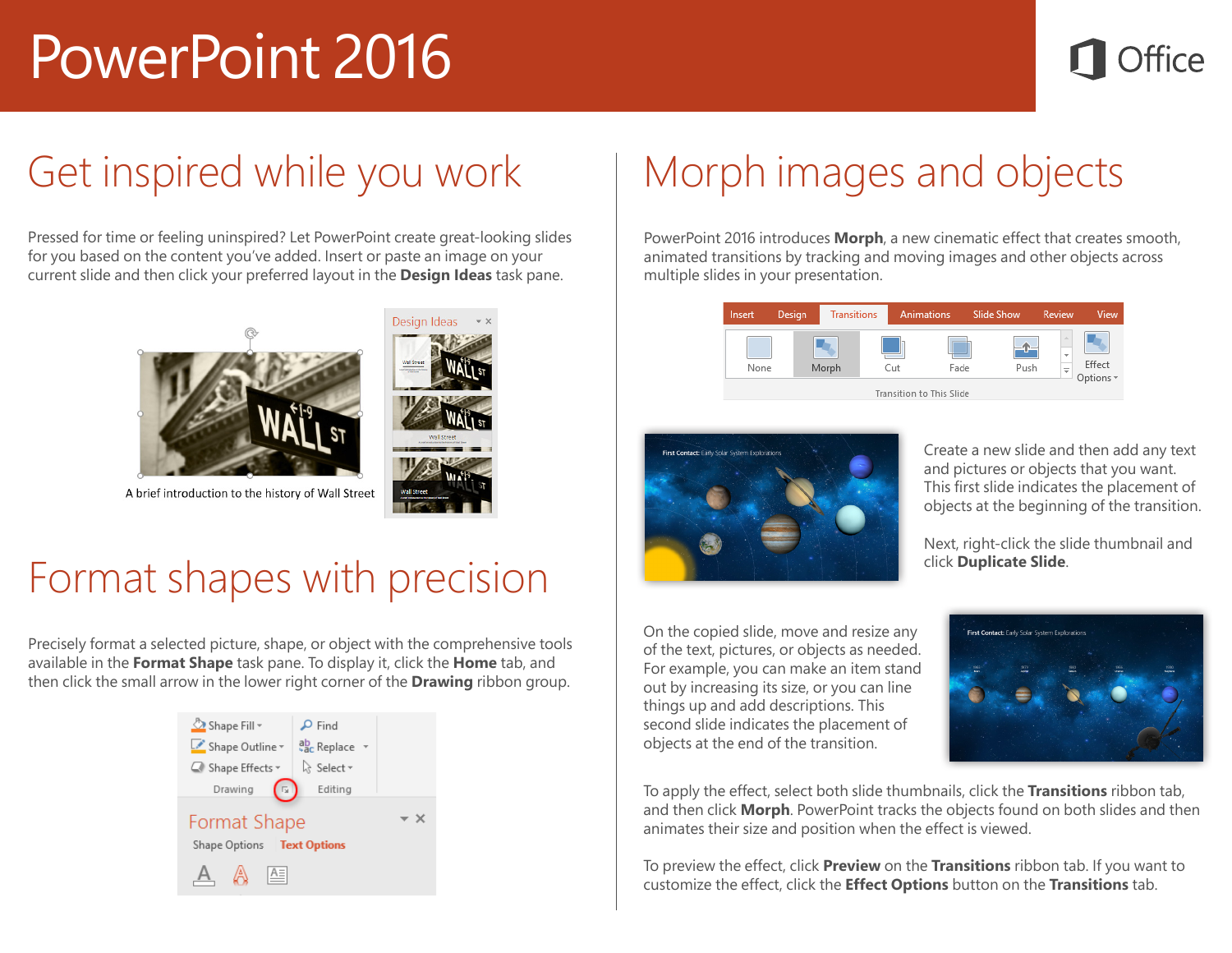### Get inspired while you work

Pressed for time or feeling uninspired? Let PowerPoint create great-looking slides for you based on the content you've added. Insert or paste an image on your current slide and then click your preferred layout in the **Design Ideas** task pane.





#### Format shapes with precision

Precisely format a selected picture, shape, or object with the comprehensive tools available in the **Format Shape** task pane. To display it, click the **Home** tab, and then click the small arrow in the lower right corner of the **Drawing** ribbon group.



## Morph images and objects

PowerPoint 2016 introduces **Morph**, a new cinematic effect that creates smooth, animated transitions by tracking and moving images and other objects across multiple slides in your presentation.





Create a new slide and then add any text and pictures or objects that you want. This first slide indicates the placement of objects at the beginning of the transition.

Next, right-click the slide thumbnail and click **Duplicate Slide**.

On the copied slide, move and resize any of the text, pictures, or objects as needed. For example, you can make an item stand out by increasing its size, or you can line things up and add descriptions. This second slide indicates the placement of objects at the end of the transition.



To apply the effect, select both slide thumbnails, click the **Transitions** ribbon tab, and then click **Morph**. PowerPoint tracks the objects found on both slides and then animates their size and position when the effect is viewed.

To preview the effect, click **Preview** on the **Transitions** ribbon tab. If you want to customize the effect, click the **Effect Options** button on the **Transitions** tab.